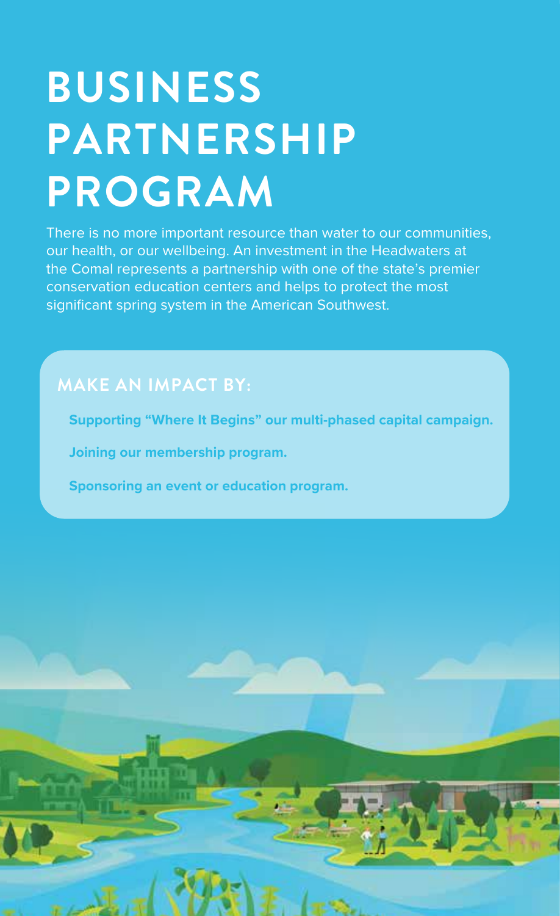## **BUSINESS PARTNERSHIP PROGRAM**

There is no more important resource than water to our communities, our health, or our wellbeing. An investment in the Headwaters at the Comal represents a partnership with one of the state's premier conservation education centers and helps to protect the most significant spring system in the American Southwest.

#### **MAKE AN IMPACT BY:**

**Supporting "Where It Begins" our multi-phased capital campaign.**

**Joining our membership program.**

**Sponsoring an event or education program.**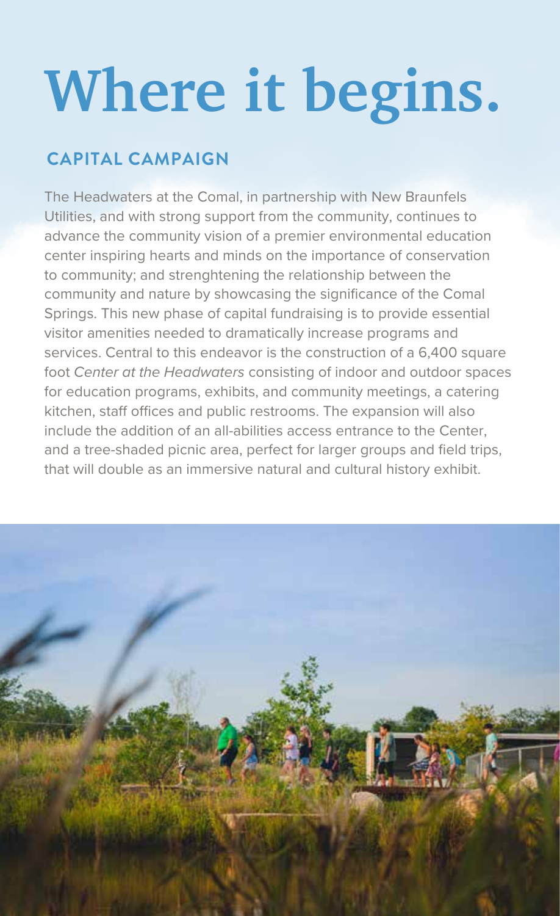# **Where it begins.**

#### **CAPITAL CAMPAIGN**

The Headwaters at the Comal, in partnership with New Braunfels Utilities, and with strong support from the community, continues to advance the community vision of a premier environmental education center inspiring hearts and minds on the importance of conservation to community; and strenghtening the relationship between the community and nature by showcasing the significance of the Comal Springs. This new phase of capital fundraising is to provide essential visitor amenities needed to dramatically increase programs and services. Central to this endeavor is the construction of a 6,400 square foot *Center at the Headwaters* consisting of indoor and outdoor spaces for education programs, exhibits, and community meetings, a catering kitchen, staff offices and public restrooms. The expansion will also include the addition of an all-abilities access entrance to the Center, and a tree-shaded picnic area, perfect for larger groups and field trips, that will double as an immersive natural and cultural history exhibit.

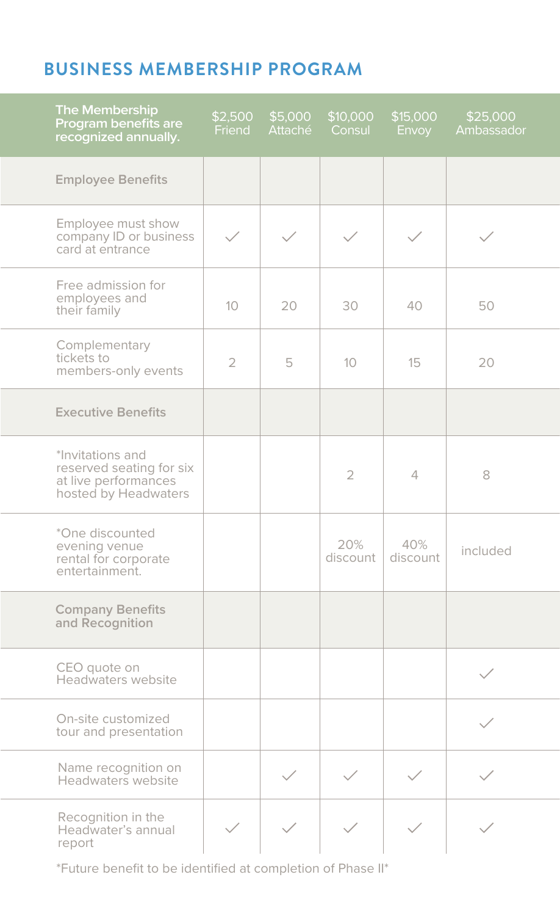#### **BUSINESS MEMBERSHIP PROGRAM**

| <b>The Membership</b><br>Program benefits are<br>recognized annually.                        | \$2,500<br>Friend | \$5,000<br>Attaché | \$10,000<br>Consul | \$15,000<br>Envoy | \$25,000<br>Ambassador |
|----------------------------------------------------------------------------------------------|-------------------|--------------------|--------------------|-------------------|------------------------|
| <b>Employee Benefits</b>                                                                     |                   |                    |                    |                   |                        |
| Employee must show<br>company ID or business<br>card at entrance                             | $\checkmark$      |                    |                    |                   |                        |
| Free admission for<br>employees and<br>their family                                          | 10 <sup>°</sup>   | 20                 | 30                 | 40                | 50                     |
| Complementary<br>tickets to<br>members-only events                                           | $\overline{2}$    | 5                  | 10 <sup>°</sup>    | 15                | 20                     |
| <b>Executive Benefits</b>                                                                    |                   |                    |                    |                   |                        |
| *Invitations and<br>reserved seating for six<br>at live performances<br>hosted by Headwaters |                   |                    | $\overline{2}$     | $\overline{4}$    | 8                      |
| *One discounted<br>evening venue<br>rental for corporate<br>entertainment.                   |                   |                    | 20%<br>discount    | 40%<br>discount   | included               |
| <b>Company Benefits</b><br>and Recognition                                                   |                   |                    |                    |                   |                        |
| CEO quote on<br>Headwaters website                                                           |                   |                    |                    |                   |                        |
| On-site customized<br>tour and presentation                                                  |                   |                    |                    |                   |                        |
| Name recognition on<br>Headwaters website                                                    |                   |                    |                    |                   |                        |
| Recognition in the<br>Headwater's annual<br>report                                           |                   |                    |                    |                   |                        |

\*Future benefit to be identified at completion of Phase II\*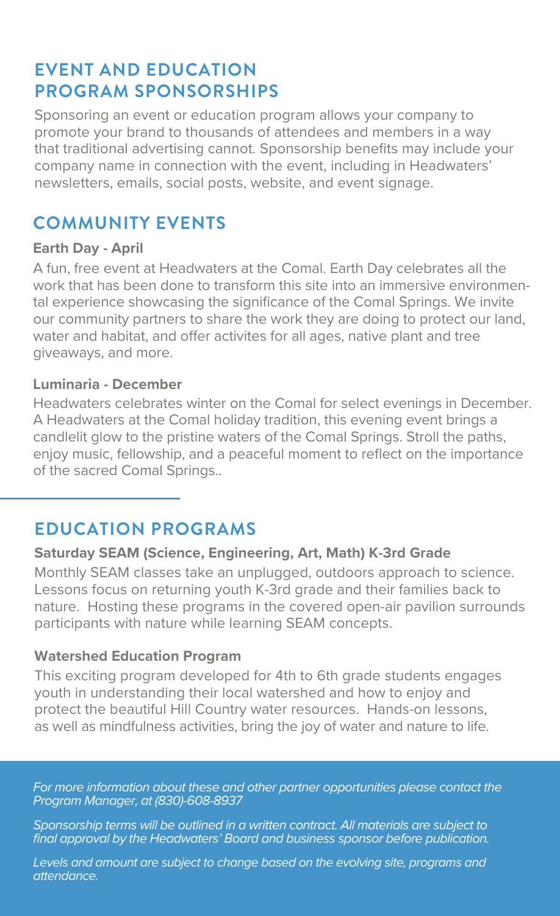#### **EVENT AND EDUCATION PROGRAM SPONSORSHIPS**

Sponsoring an event or education program allows your company to promote your brand to thousands of attendees and members in a way that traditional advertising cannot. Sponsorship benefits may include your company name in connection with the event, including in Headwaters' newsletters, emails, social posts, website, and event signage.

#### **COMMUNITY EVENTS**

#### **Earth Day - April**

A fun, free event at Headwaters at the Comal. Earth Day celebrates all the work that has been done to transform this site into an immersive environmental experience showcasing the significance of the Comal Springs. We invite our community partners to share the work they are doing to protect our land, water and habitat, and offer activites for all ages, native plant and tree giveaways, and more.

#### **Luminaria - December**

Headwaters celebrates winter on the Comal for select evenings in December. A Headwaters at the Comal holiday tradition, this evening event brings a candlelit glow to the pristine waters of the Comal Springs. Stroll the paths, enjoy music, fellowship, and a peaceful moment to reflect on the importance of the sacred Comal Springs..

#### **EDUCATION PROGRAMS**

#### **Saturday SEAM (Science, Engineering, Art, Math) K-3rd Grade**

Monthly SEAM classes take an unplugged, outdoors approach to science. Lessons focus on returning youth K-3rd grade and their families back to nature. Hosting these programs in the covered open-air pavilion surrounds participants with nature while learning SEAM concepts.

#### **Watershed Education Program**

This exciting program developed for 4th to 6th grade students engages youth in understanding their local watershed and how to enjoy and protect the beautiful Hill Country water resources. Hands-on lessons, as well as mindfulness activities, bring the joy of water and nature to life.

*For more information about these and other partner opportunities please contact the Program Manager, at (830)-608-8937*

*Sponsorship terms will be outlined in a written contract. All materials are subject to final approval by the Headwaters' Board and business sponsor before publication.*

Levels and amount are subject to change based on the evolving site, programs and *attendance.*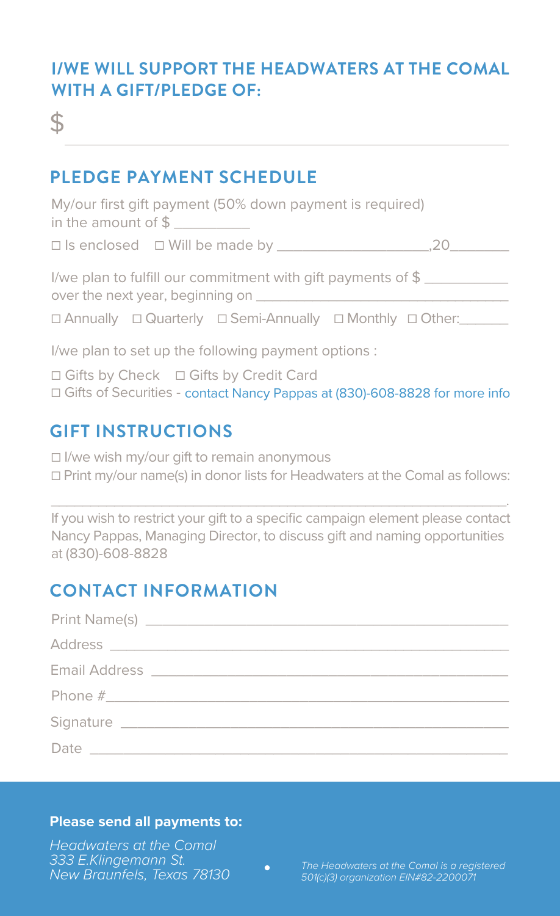#### **I/WE WILL SUPPORT THE HEADWATERS AT THE COMAL WITH A GIFT/PLEDGE OF:**

 $\ddot{\textbf{S}}$ 

#### **PLEDGE PAYMENT SCHEDULE**

My/our first gift payment (50% down payment is required) in the amount of \$

☐ Is enclosed ☐ Will be made by \_\_\_\_\_\_\_\_\_\_\_\_\_\_\_\_\_\_,20\_\_\_\_\_\_\_

I/we plan to fulfill our commitment with gift payments of \$ over the next year, beginning on

☐ Annually ☐ Quarterly ☐ Semi-Annually ☐ Monthly ☐ Other:\_\_\_\_\_\_

I/we plan to set up the following payment options :

 $\Box$  Gifts of Securities - <mark>contact Nancy Pappas at (830)-608-8828 for more info</mark> □ Gifts by Check □ Gifts by Credit Card

#### **GIFT INSTRUCTIONS**

- ☐ I/we wish my/our gift to remain anonymous
- ☐ Print my/our name(s) in donor lists for Headwaters at the Comal as follows: \_\_\_\_\_\_\_\_\_\_\_\_\_\_\_\_\_\_\_\_\_\_\_\_\_\_\_\_\_\_\_\_\_\_\_\_\_\_\_\_\_\_\_\_\_\_\_\_\_\_\_\_\_\_\_\_\_\_.

If you wish to restrict your gift to a specific campaign element please contact Nancy Pappas, Managing Director, to discuss gift and naming opportunities at (830)-608-8828

#### **CONTACT INFORMATION**

#### **Please send all payments to:**

*Headwaters at the Comal 333 E.Klingemann St.*

*New Braunfels, Texas 78130 The Headwaters at the Comal is a registered 501(c)(3) organization EIN#82-2200071*